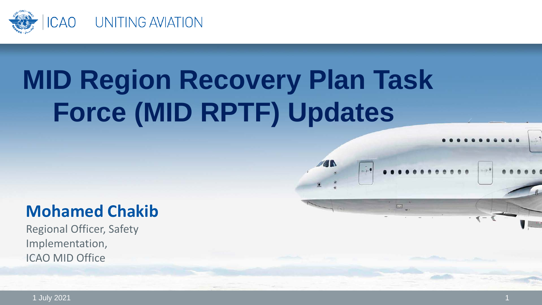

# **MID Region Recovery Plan Task Force (MID RPTF) Updates**

 $-10$ 

#### **Mohamed Chakib**

Regional Officer, Safety Implementation, ICAO MID Office

1 July 2021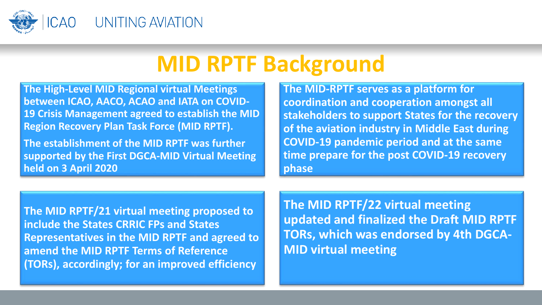

### **MID RPTF Background**

**The High-Level MID Regional virtual Meetings between ICAO, AACO, ACAO and IATA on COVID-19 Crisis Management agreed to establish the MID Region Recovery Plan Task Force (MID RPTF).** 

**The establishment of the MID RPTF was further supported by the First DGCA-MID Virtual Meeting held on 3 April 2020**

**The MID-RPTF serves as a platform for coordination and cooperation amongst all stakeholders to support States for the recovery of the aviation industry in Middle East during COVID-19 pandemic period and at the same time prepare for the post COVID-19 recovery phase**

**The MID RPTF/21 virtual meeting proposed to include the States CRRIC FPs and States Representatives in the MID RPTF and agreed to amend the MID RPTF Terms of Reference (TORs), accordingly; for an improved efficiency**

**The MID RPTF/22 virtual meeting updated and finalized the Draft MID RPTF TORs, which was endorsed by 4th DGCA-MID virtual meeting**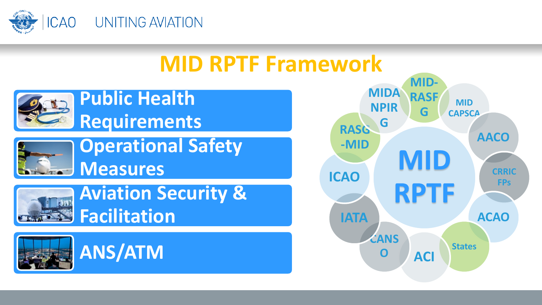

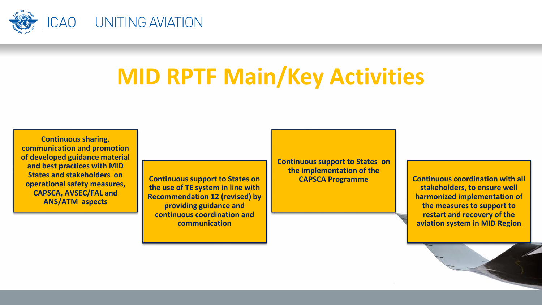

## **MID RPTF Main/Key Activities**

**Continuous sharing, communication and promotion of developed guidance material and best practices with MID States and stakeholders on operational safety measures, CAPSCA, AVSEC/FAL and ANS/ATM aspects**

**Continuous support to States on the use of TE system in line with Recommendation 12 (revised) by providing guidance and continuous coordination and communication**

**Continuous support to States on the implementation of the CAPSCA Programme Continuous coordination with all** 

**stakeholders, to ensure well harmonized implementation of the measures to support to restart and recovery of the aviation system in MID Region**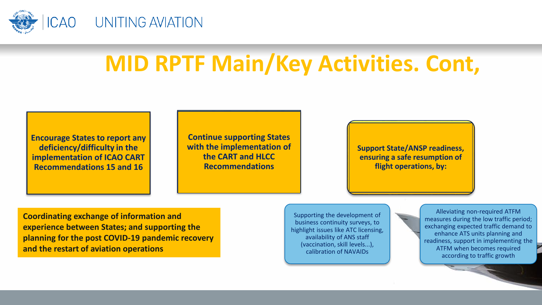

# **MID RPTF Main/Key Activities. Cont,**

**Encourage States to report any deficiency/difficulty in the implementation of ICAO CART Recommendations 15 and 16**

**Continue supporting States with the implementation of the CART and HLCC Recommendations**

**Support State/ANSP readiness, ensuring a safe resumption of flight operations, by:**

**Coordinating exchange of information and experience between States; and supporting the planning for the post COVID-19 pandemic recovery and the restart of aviation operations**

Supporting the development of business continuity surveys, to highlight issues like ATC licensing, availability of ANS staff (vaccination, skill levels...), calibration of NAVAIDs

Alleviating non-required ATFM measures during the low traffic period; exchanging expected traffic demand to enhance ATS units planning and readiness, support in implementing the ATFM when becomes required according to traffic growth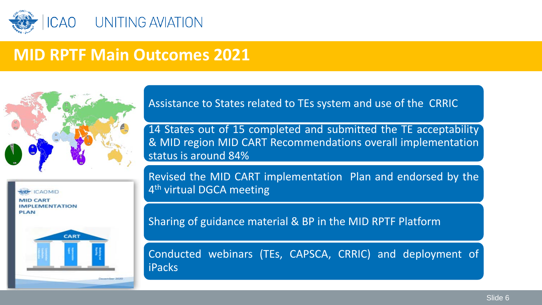

#### **MID RPTF Main Outcomes 2021**



**ICAOMID MID CART IMPLEMENTATION PIAN** 



Assistance to States related to TEs system and use of the CRRIC

14 States out of 15 completed and submitted the TE acceptability & MID region MID CART Recommendations overall implementation status is around 84%

Revised the MID CART implementation Plan and endorsed by the 4<sup>th</sup> virtual DGCA meeting

Sharing of guidance material & BP in the MID RPTF Platform

Conducted webinars (TEs, CAPSCA, CRRIC) and deployment of iPacks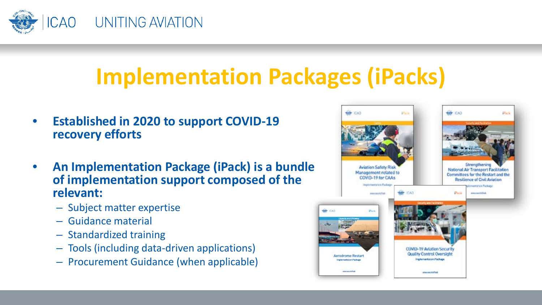

## **Implementation Packages (iPacks)**

- **Established in 2020 to support COVID-19 recovery efforts**
- **An Implementation Package (iPack) is a bundle of implementation support composed of the relevant:**
	- Subject matter expertise
	- Guidance material
	- Standardized training
	- Tools (including data-driven applications)
	- Procurement Guidance (when applicable)

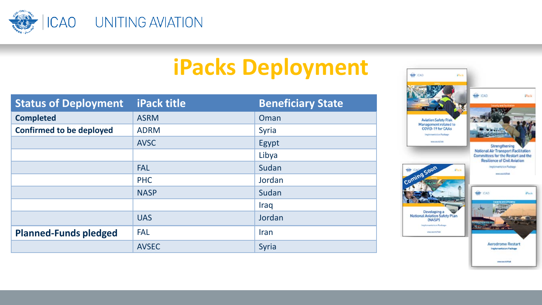

# **iPacks Deployment**

| <b>Status of Deployment</b>     | <b>iPack title</b> | <b>Beneficiary State</b> |
|---------------------------------|--------------------|--------------------------|
| <b>Completed</b>                | <b>ASRM</b>        | Oman                     |
| <b>Confirmed to be deployed</b> | <b>ADRM</b>        | Syria                    |
|                                 | <b>AVSC</b>        | Egypt                    |
|                                 |                    | Libya                    |
|                                 | <b>FAL</b>         | Sudan                    |
|                                 | <b>PHC</b>         | Jordan                   |
|                                 | <b>NASP</b>        | Sudan                    |
|                                 |                    | Iraq                     |
|                                 | <b>UAS</b>         | Jordan                   |
| <b>Planned-Funds pledged</b>    | <b>FAL</b>         | Iran                     |
|                                 | <b>AVSEC</b>       | Syria                    |